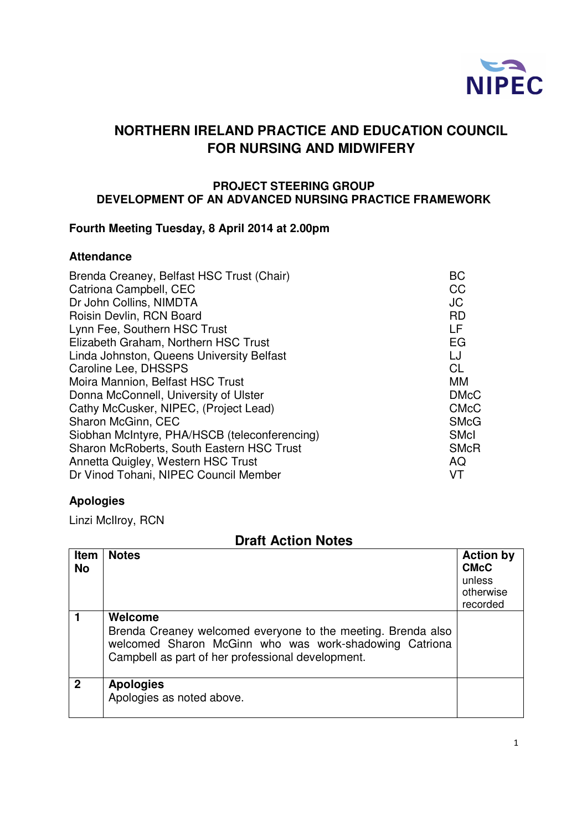

## **NORTHERN IRELAND PRACTICE AND EDUCATION COUNCIL FOR NURSING AND MIDWIFERY**

#### **PROJECT STEERING GROUP DEVELOPMENT OF AN ADVANCED NURSING PRACTICE FRAMEWORK**

### **Fourth Meeting Tuesday, 8 April 2014 at 2.00pm**

#### **Attendance**

| Brenda Creaney, Belfast HSC Trust (Chair)     | BC          |
|-----------------------------------------------|-------------|
| Catriona Campbell, CEC                        | CC          |
| Dr John Collins, NIMDTA                       | <b>JC</b>   |
| Roisin Devlin, RCN Board                      | <b>RD</b>   |
| Lynn Fee, Southern HSC Trust                  | LF          |
| Elizabeth Graham, Northern HSC Trust          | EG          |
| Linda Johnston, Queens University Belfast     | LJ          |
| Caroline Lee, DHSSPS                          | <b>CL</b>   |
| Moira Mannion, Belfast HSC Trust              | <b>MM</b>   |
| Donna McConnell, University of Ulster         | <b>DMcC</b> |
| Cathy McCusker, NIPEC, (Project Lead)         | <b>CMcC</b> |
| Sharon McGinn, CEC                            | <b>SMcG</b> |
| Siobhan McIntyre, PHA/HSCB (teleconferencing) | <b>SMcI</b> |
| Sharon McRoberts, South Eastern HSC Trust     | <b>SMcR</b> |
| Annetta Quigley, Western HSC Trust            | AQ          |
| Dr Vinod Tohani, NIPEC Council Member         | VT          |

#### **Apologies**

Linzi McIlroy, RCN

| PIGIL AVUVII IIVLGJ      |                                                                                                                                                                                        |                                                                    |  |  |
|--------------------------|----------------------------------------------------------------------------------------------------------------------------------------------------------------------------------------|--------------------------------------------------------------------|--|--|
| <b>Item</b><br><b>No</b> | <b>Notes</b>                                                                                                                                                                           | <b>Action by</b><br><b>CMcC</b><br>unless<br>otherwise<br>recorded |  |  |
|                          | Welcome<br>Brenda Creaney welcomed everyone to the meeting. Brenda also<br>welcomed Sharon McGinn who was work-shadowing Catriona<br>Campbell as part of her professional development. |                                                                    |  |  |
| $\overline{2}$           | <b>Apologies</b><br>Apologies as noted above.                                                                                                                                          |                                                                    |  |  |

# **Draft Action Notes**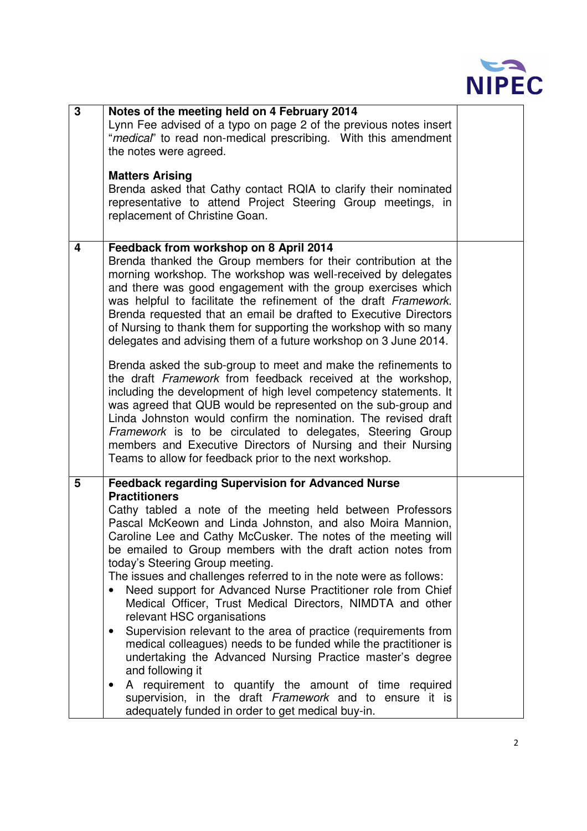

| 3 | Notes of the meeting held on 4 February 2014<br>Lynn Fee advised of a typo on page 2 of the previous notes insert<br>"medical" to read non-medical prescribing. With this amendment<br>the notes were agreed.<br><b>Matters Arising</b><br>Brenda asked that Cathy contact RQIA to clarify their nominated<br>representative to attend Project Steering Group meetings, in<br>replacement of Christine Goan.                                                                                                                                                                                                                                                                                                                                                                                                                                                                                                                                                                                                                                                 |  |
|---|--------------------------------------------------------------------------------------------------------------------------------------------------------------------------------------------------------------------------------------------------------------------------------------------------------------------------------------------------------------------------------------------------------------------------------------------------------------------------------------------------------------------------------------------------------------------------------------------------------------------------------------------------------------------------------------------------------------------------------------------------------------------------------------------------------------------------------------------------------------------------------------------------------------------------------------------------------------------------------------------------------------------------------------------------------------|--|
| 4 | Feedback from workshop on 8 April 2014<br>Brenda thanked the Group members for their contribution at the<br>morning workshop. The workshop was well-received by delegates<br>and there was good engagement with the group exercises which<br>was helpful to facilitate the refinement of the draft Framework.<br>Brenda requested that an email be drafted to Executive Directors<br>of Nursing to thank them for supporting the workshop with so many<br>delegates and advising them of a future workshop on 3 June 2014.<br>Brenda asked the sub-group to meet and make the refinements to<br>the draft Framework from feedback received at the workshop,<br>including the development of high level competency statements. It<br>was agreed that QUB would be represented on the sub-group and<br>Linda Johnston would confirm the nomination. The revised draft<br>Framework is to be circulated to delegates, Steering Group<br>members and Executive Directors of Nursing and their Nursing<br>Teams to allow for feedback prior to the next workshop. |  |
| 5 | <b>Feedback regarding Supervision for Advanced Nurse</b><br><b>Practitioners</b><br>Cathy tabled a note of the meeting held between Professors<br>Pascal McKeown and Linda Johnston, and also Moira Mannion,<br>Caroline Lee and Cathy McCusker. The notes of the meeting will<br>be emailed to Group members with the draft action notes from<br>today's Steering Group meeting.<br>The issues and challenges referred to in the note were as follows:<br>Need support for Advanced Nurse Practitioner role from Chief<br>$\bullet$<br>Medical Officer, Trust Medical Directors, NIMDTA and other<br>relevant HSC organisations<br>Supervision relevant to the area of practice (requirements from<br>$\bullet$<br>medical colleagues) needs to be funded while the practitioner is<br>undertaking the Advanced Nursing Practice master's degree<br>and following it<br>A requirement to quantify the amount of time required<br>$\bullet$<br>supervision, in the draft Framework and to ensure it is<br>adequately funded in order to get medical buy-in.  |  |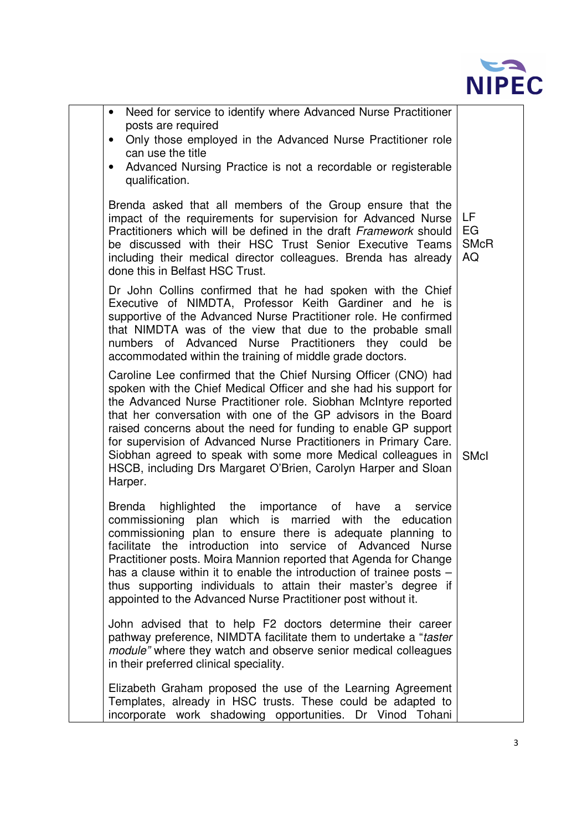

| Need for service to identify where Advanced Nurse Practitioner<br>$\bullet$<br>posts are required<br>Only those employed in the Advanced Nurse Practitioner role<br>$\bullet$<br>can use the title<br>Advanced Nursing Practice is not a recordable or registerable<br>$\bullet$<br>qualification.                                                                                                                                                                                                                                                            |                               |
|---------------------------------------------------------------------------------------------------------------------------------------------------------------------------------------------------------------------------------------------------------------------------------------------------------------------------------------------------------------------------------------------------------------------------------------------------------------------------------------------------------------------------------------------------------------|-------------------------------|
| Brenda asked that all members of the Group ensure that the<br>impact of the requirements for supervision for Advanced Nurse<br>Practitioners which will be defined in the draft Framework should<br>be discussed with their HSC Trust Senior Executive Teams<br>including their medical director colleagues. Brenda has already<br>done this in Belfast HSC Trust.                                                                                                                                                                                            | LF<br>EG<br><b>SMcR</b><br>AQ |
| Dr John Collins confirmed that he had spoken with the Chief<br>Executive of NIMDTA, Professor Keith Gardiner and he is<br>supportive of the Advanced Nurse Practitioner role. He confirmed<br>that NIMDTA was of the view that due to the probable small<br>numbers of Advanced Nurse Practitioners they could<br>be<br>accommodated within the training of middle grade doctors.                                                                                                                                                                             |                               |
| Caroline Lee confirmed that the Chief Nursing Officer (CNO) had<br>spoken with the Chief Medical Officer and she had his support for<br>the Advanced Nurse Practitioner role. Siobhan McIntyre reported<br>that her conversation with one of the GP advisors in the Board<br>raised concerns about the need for funding to enable GP support<br>for supervision of Advanced Nurse Practitioners in Primary Care.<br>Siobhan agreed to speak with some more Medical colleagues in<br>HSCB, including Drs Margaret O'Brien, Carolyn Harper and Sloan<br>Harper. | <b>SMcI</b>                   |
| <b>Brenda</b><br>highlighted the importance of have a<br>service<br>commissioning plan which is married with the education<br>commissioning plan to ensure there is adequate planning to<br>facilitate the introduction into service of Advanced Nurse<br>Practitioner posts. Moira Mannion reported that Agenda for Change<br>has a clause within it to enable the introduction of trainee posts -<br>thus supporting individuals to attain their master's degree if<br>appointed to the Advanced Nurse Practitioner post without it.                        |                               |
| John advised that to help F2 doctors determine their career<br>pathway preference, NIMDTA facilitate them to undertake a "taster"<br>module" where they watch and observe senior medical colleagues<br>in their preferred clinical speciality.                                                                                                                                                                                                                                                                                                                |                               |
| Elizabeth Graham proposed the use of the Learning Agreement<br>Templates, already in HSC trusts. These could be adapted to<br>incorporate work shadowing opportunities. Dr Vinod Tohani                                                                                                                                                                                                                                                                                                                                                                       |                               |